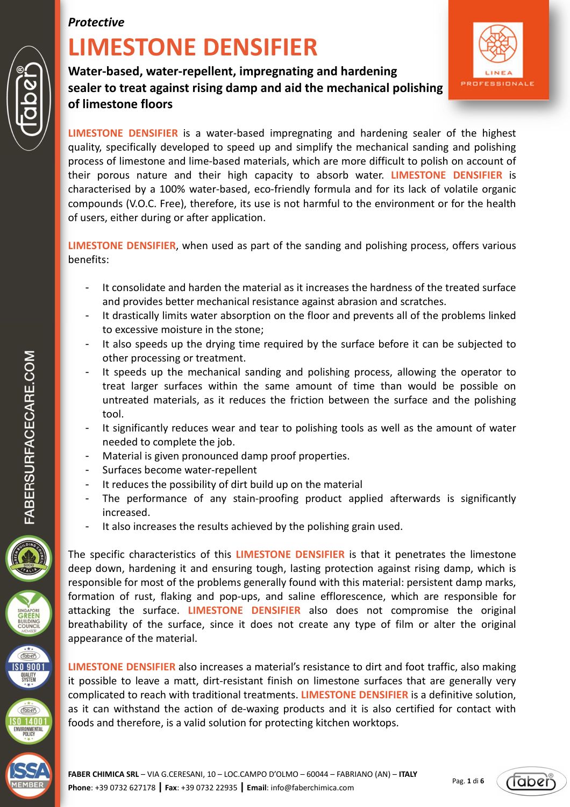# **LIMESTONE DENSIFIER**

**Water-based, water-repellent, impregnating and hardening sealer to treat against rising damp and aid the mechanical polishing of limestone floors** 



**LIMESTONE DENSIFIER** is a water-based impregnating and hardening sealer of the highest quality, specifically developed to speed up and simplify the mechanical sanding and polishing process of limestone and lime-based materials, which are more difficult to polish on account of their porous nature and their high capacity to absorb water. **LIMESTONE DENSIFIER** is characterised by a 100% water-based, eco-friendly formula and for its lack of volatile organic compounds (V.O.C. Free), therefore, its use is not harmful to the environment or for the health of users, either during or after application.

**LIMESTONE DENSIFIER**, when used as part of the sanding and polishing process, offers various benefits:

- It consolidate and harden the material as it increases the hardness of the treated surface and provides better mechanical resistance against abrasion and scratches.
- It drastically limits water absorption on the floor and prevents all of the problems linked to excessive moisture in the stone;
- It also speeds up the drying time required by the surface before it can be subjected to other processing or treatment.
- It speeds up the mechanical sanding and polishing process, allowing the operator to treat larger surfaces within the same amount of time than would be possible on untreated materials, as it reduces the friction between the surface and the polishing tool.
- It significantly reduces wear and tear to polishing tools as well as the amount of water needed to complete the job.
- Material is given pronounced damp proof properties.
- Surfaces become water-repellent
- It reduces the possibility of dirt build up on the material
- The performance of any stain-proofing product applied afterwards is significantly increased.
- It also increases the results achieved by the polishing grain used.

The specific characteristics of this **LIMESTONE DENSIFIER** is that it penetrates the limestone deep down, hardening it and ensuring tough, lasting protection against rising damp, which is responsible for most of the problems generally found with this material: persistent damp marks, formation of rust, flaking and pop-ups, and saline efflorescence, which are responsible for attacking the surface. **LIMESTONE DENSIFIER** also does not compromise the original breathability of the surface, since it does not create any type of film or alter the original appearance of the material.

**LIMESTONE DENSIFIER** also increases a material's resistance to dirt and foot traffic, also making it possible to leave a matt, dirt-resistant finish on limestone surfaces that are generally very complicated to reach with traditional treatments. **LIMESTONE DENSIFIER** is a definitive solution, as it can withstand the action of de-waxing products and it is also certified for contact with foods and therefore, is a valid solution for protecting kitchen worktops.



 $\widehat{\text{Table 1}}$ **SO 9001 QUALITY**<br>SYSTEM

**Taben** \$0 14001 ENVIRONMENTAL<br>POLICY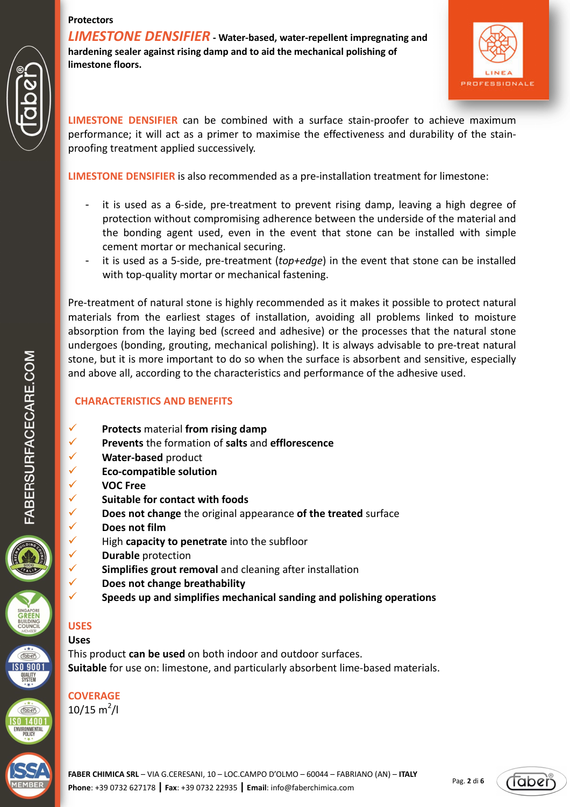*LIMESTONE DENSIFIER* **- Water-based, water-repellent impregnating and hardening sealer against rising damp and to aid the mechanical polishing of limestone floors.** 



**LIMESTONE DENSIFIER** can be combined with a surface stain-proofer to achieve maximum performance; it will act as a primer to maximise the effectiveness and durability of the stainproofing treatment applied successively.

**LIMESTONE DENSIFIER** is also recommended as a pre-installation treatment for limestone:

- it is used as a 6-side, pre-treatment to prevent rising damp, leaving a high degree of protection without compromising adherence between the underside of the material and the bonding agent used, even in the event that stone can be installed with simple cement mortar or mechanical securing.
- it is used as a 5-side, pre-treatment (*top+edge*) in the event that stone can be installed with top-quality mortar or mechanical fastening.

Pre-treatment of natural stone is highly recommended as it makes it possible to protect natural materials from the earliest stages of installation, avoiding all problems linked to moisture absorption from the laying bed (screed and adhesive) or the processes that the natural stone undergoes (bonding, grouting, mechanical polishing). It is always advisable to pre-treat natural stone, but it is more important to do so when the surface is absorbent and sensitive, especially and above all, according to the characteristics and performance of the adhesive used.

# **CHARACTERISTICS AND BENEFITS**

- **Protects** material **from rising damp**
- **Prevents** the formation of **salts** and **efflorescence**
- **Water-based** product
- **Eco-compatible solution**
- **VOC Free**
- **Suitable for contact with foods**
- **Does not change** the original appearance of the treated surface
	- **Does not film**
- $\checkmark$  High **capacity to penetrate** into the subfloor
- **Durable** protection
- **Simplifies grout removal** and cleaning after installation
- **Does not change breathability**
- **Speeds up and simplifies mechanical sanding and polishing operations**

# **USES**

# **Uses**

This product **can be used** on both indoor and outdoor surfaces. **Suitable** for use on: limestone, and particularly absorbent lime-based materials.

**COVERAGE**   $10/15 \text{ m}^2$ /l

**FABER CHIMICA SRL** – VIA G.CERESANI, 10 – LOC.CAMPO D'OLMO – 60044 – FABRIANO (AN) – **ITALY Phone**: +39 0732 627178 **| Fax**: +39 0732 22935 **| Email**: info@faberchimica.com



**Taben SO 9001** QUALITY<br>SYSTEM

 $Table 8$  $S0$  14001 ENVIRONMENTAL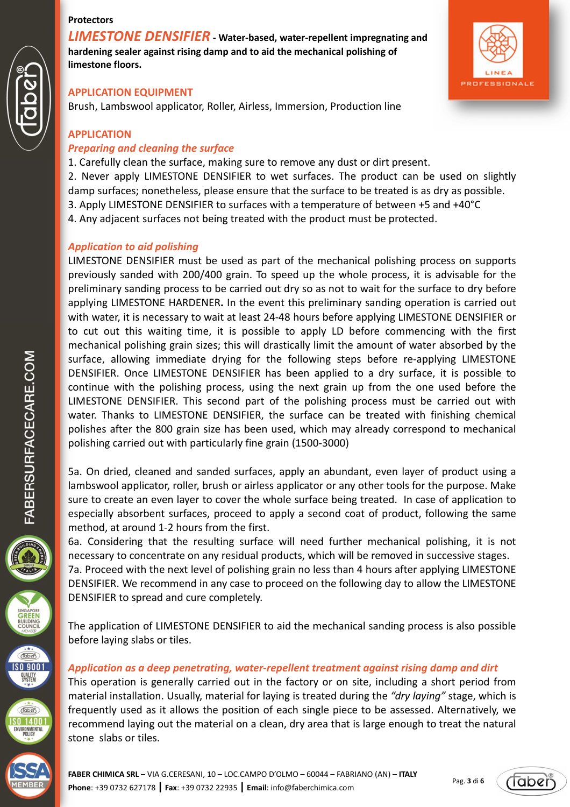*LIMESTONE DENSIFIER* **- Water-based, water-repellent impregnating and hardening sealer against rising damp and to aid the mechanical polishing of limestone floors.** 



#### **APPLICATION EQUIPMENT**

Brush, Lambswool applicator, Roller, Airless, Immersion, Production line

#### **APPLICATION**

#### *Preparing and cleaning the surface*

1. Carefully clean the surface, making sure to remove any dust or dirt present.

2. Never apply LIMESTONE DENSIFIER to wet surfaces. The product can be used on slightly

damp surfaces; nonetheless, please ensure that the surface to be treated is as dry as possible. 3. Apply LIMESTONE DENSIFIER to surfaces with a temperature of between +5 and +40°C

4. Any adjacent surfaces not being treated with the product must be protected.

#### *Application to aid polishing*

LIMESTONE DENSIFIER must be used as part of the mechanical polishing process on supports previously sanded with 200/400 grain. To speed up the whole process, it is advisable for the preliminary sanding process to be carried out dry so as not to wait for the surface to dry before applying LIMESTONE HARDENER**.** In the event this preliminary sanding operation is carried out with water, it is necessary to wait at least 24-48 hours before applying LIMESTONE DENSIFIER or to cut out this waiting time, it is possible to apply LD before commencing with the first mechanical polishing grain sizes; this will drastically limit the amount of water absorbed by the surface, allowing immediate drying for the following steps before re-applying LIMESTONE DENSIFIER. Once LIMESTONE DENSIFIER has been applied to a dry surface, it is possible to continue with the polishing process, using the next grain up from the one used before the LIMESTONE DENSIFIER. This second part of the polishing process must be carried out with water. Thanks to LIMESTONE DENSIFIER, the surface can be treated with finishing chemical polishes after the 800 grain size has been used, which may already correspond to mechanical polishing carried out with particularly fine grain (1500-3000)

5a. On dried, cleaned and sanded surfaces, apply an abundant, even layer of product using a lambswool applicator, roller, brush or airless applicator or any other tools for the purpose. Make sure to create an even layer to cover the whole surface being treated. In case of application to especially absorbent surfaces, proceed to apply a second coat of product, following the same method, at around 1-2 hours from the first.

6a. Considering that the resulting surface will need further mechanical polishing, it is not necessary to concentrate on any residual products, which will be removed in successive stages. 7a. Proceed with the next level of polishing grain no less than 4 hours after applying LIMESTONE DENSIFIER. We recommend in any case to proceed on the following day to allow the LIMESTONE DENSIFIER to spread and cure completely.

The application of LIMESTONE DENSIFIER to aid the mechanical sanding process is also possible before laying slabs or tiles.

#### *Application as a deep penetrating, water-repellent treatment against rising damp and dirt*

This operation is generally carried out in the factory or on site, including a short period from material installation. Usually, material for laying is treated during the *"dry laying"* stage, which is frequently used as it allows the position of each single piece to be assessed. Alternatively, we recommend laying out the material on a clean, dry area that is large enough to treat the natural stone slabs or tiles.



(Tabeï

 $\widehat{(\text{label})}$ **SO 9001 QUALITY**<br>SYSTEM

 $Table 8$  $S014001$ ENVIRONMENTAL<br>POLICY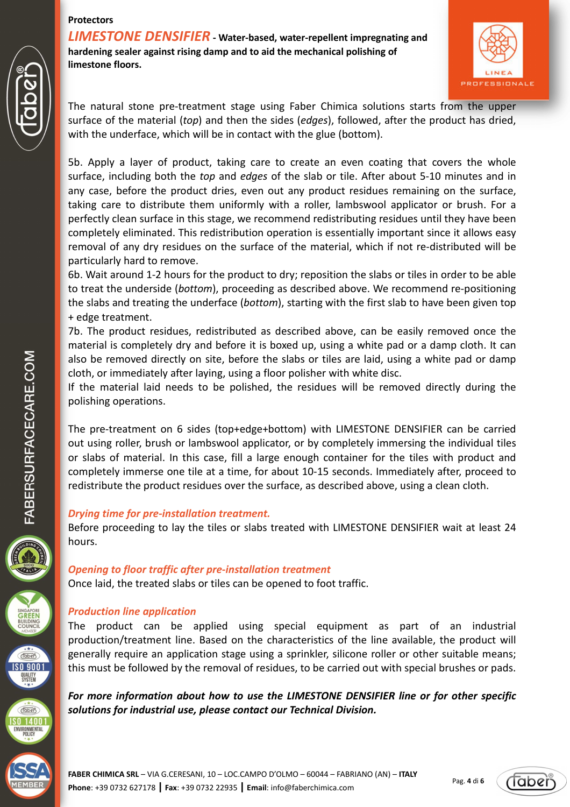*LIMESTONE DENSIFIER* **- Water-based, water-repellent impregnating and hardening sealer against rising damp and to aid the mechanical polishing of limestone floors.** 



The natural stone pre-treatment stage using Faber Chimica solutions starts from the upper surface of the material (*top*) and then the sides (*edges*), followed, after the product has dried, with the underface, which will be in contact with the glue (bottom).

5b. Apply a layer of product, taking care to create an even coating that covers the whole surface, including both the *top* and *edges* of the slab or tile. After about 5-10 minutes and in any case, before the product dries, even out any product residues remaining on the surface, taking care to distribute them uniformly with a roller, lambswool applicator or brush. For a perfectly clean surface in this stage, we recommend redistributing residues until they have been completely eliminated. This redistribution operation is essentially important since it allows easy removal of any dry residues on the surface of the material, which if not re-distributed will be particularly hard to remove.

6b. Wait around 1-2 hours for the product to dry; reposition the slabs or tiles in order to be able to treat the underside (*bottom*), proceeding as described above. We recommend re-positioning the slabs and treating the underface (*bottom*), starting with the first slab to have been given top + edge treatment.

7b. The product residues, redistributed as described above, can be easily removed once the material is completely dry and before it is boxed up, using a white pad or a damp cloth. It can also be removed directly on site, before the slabs or tiles are laid, using a white pad or damp cloth, or immediately after laying, using a floor polisher with white disc.

If the material laid needs to be polished, the residues will be removed directly during the polishing operations.

The pre-treatment on 6 sides (top+edge+bottom) with LIMESTONE DENSIFIER can be carried out using roller, brush or lambswool applicator, or by completely immersing the individual tiles or slabs of material. In this case, fill a large enough container for the tiles with product and completely immerse one tile at a time, for about 10-15 seconds. Immediately after, proceed to redistribute the product residues over the surface, as described above, using a clean cloth.

# *Drying time for pre-installation treatment.*

Before proceeding to lay the tiles or slabs treated with LIMESTONE DENSIFIER wait at least 24 hours.

# *Opening to floor traffic after pre-installation treatment*  Once laid, the treated slabs or tiles can be opened to foot traffic.

# *Production line application*

The product can be applied using special equipment as part of an industrial production/treatment line. Based on the characteristics of the line available, the product will generally require an application stage using a sprinkler, silicone roller or other suitable means; this must be followed by the removal of residues, to be carried out with special brushes or pads.

*For more information about how to use the LIMESTONE DENSIFIER line or for other specific solutions for industrial use, please contact our Technical Division.* 





 $\widehat{(\text{label})}$ **SO 9001 QUALITY**<br>SYSTEM

 $Table 8$  $S0$  14001 ENVIRONMENTAL<br>POLICY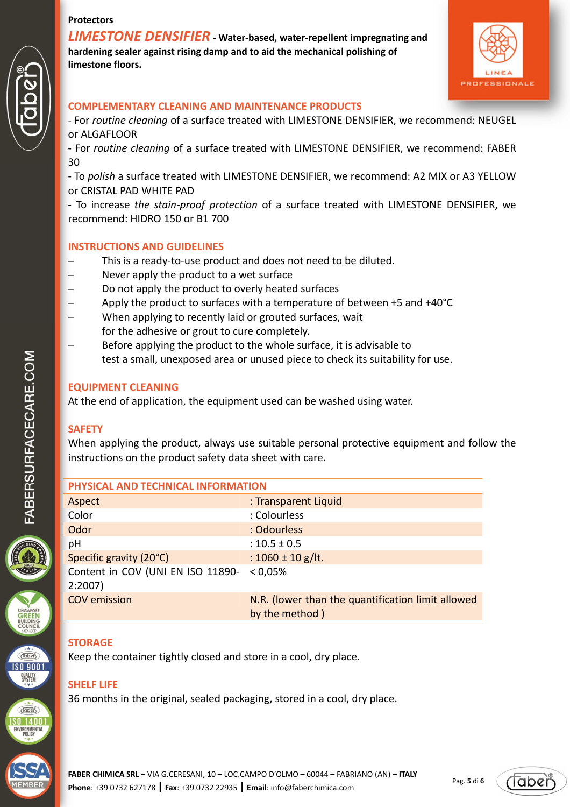*LIMESTONE DENSIFIER* **- Water-based, water-repellent impregnating and hardening sealer against rising damp and to aid the mechanical polishing of limestone floors.** 



#### **COMPLEMENTARY CLEANING AND MAINTENANCE PRODUCTS**

- For *routine cleaning* of a surface treated with LIMESTONE DENSIFIER, we recommend: NEUGEL or ALGAFLOOR

- For *routine cleaning* of a surface treated with LIMESTONE DENSIFIER, we recommend: FABER 30

- To *polish* a surface treated with LIMESTONE DENSIFIER, we recommend: A2 MIX or A3 YELLOW or CRISTAL PAD WHITE PAD

- To increase *the stain-proof protection* of a surface treated with LIMESTONE DENSIFIER, we recommend: HIDRO 150 or B1 700

# **INSTRUCTIONS AND GUIDELINES**

- This is a ready-to-use product and does not need to be diluted.
- Never apply the product to a wet surface
- Do not apply the product to overly heated surfaces
- Apply the product to surfaces with a temperature of between +5 and +40°C
- When applying to recently laid or grouted surfaces, wait for the adhesive or grout to cure completely.
- Before applying the product to the whole surface, it is advisable to test a small, unexposed area or unused piece to check its suitability for use.

#### **EQUIPMENT CLEANING**

At the end of application, the equipment used can be washed using water.

# **SAFETY**

When applying the product, always use suitable personal protective equipment and follow the instructions on the product safety data sheet with care.

| PHYSICAL AND TECHNICAL INFORMATION          |                                                                     |
|---------------------------------------------|---------------------------------------------------------------------|
| Aspect                                      | : Transparent Liquid                                                |
| Color                                       | : Colourless                                                        |
| Odor                                        | : Odourless                                                         |
| pH                                          | : $10.5 \pm 0.5$                                                    |
| Specific gravity (20°C)                     | : $1060 \pm 10$ g/lt.                                               |
| Content in COV (UNI EN ISO 11890-<br>2:2007 | < 0.05%                                                             |
| <b>COV</b> emission                         | N.R. (lower than the quantification limit allowed<br>by the method) |

# **STORAGE**

Keep the container tightly closed and store in a cool, dry place.

# **SHELF LIFE**

36 months in the original, sealed packaging, stored in a cool, dry place.



 $\boxed{\text{Table 1}}$ **SO 9001** QUALITY<br>SYSTEM

 $Table 8$  $\overline{50}$  1400 ENVIRONMENTAL<br>POLICY



*Tabei*